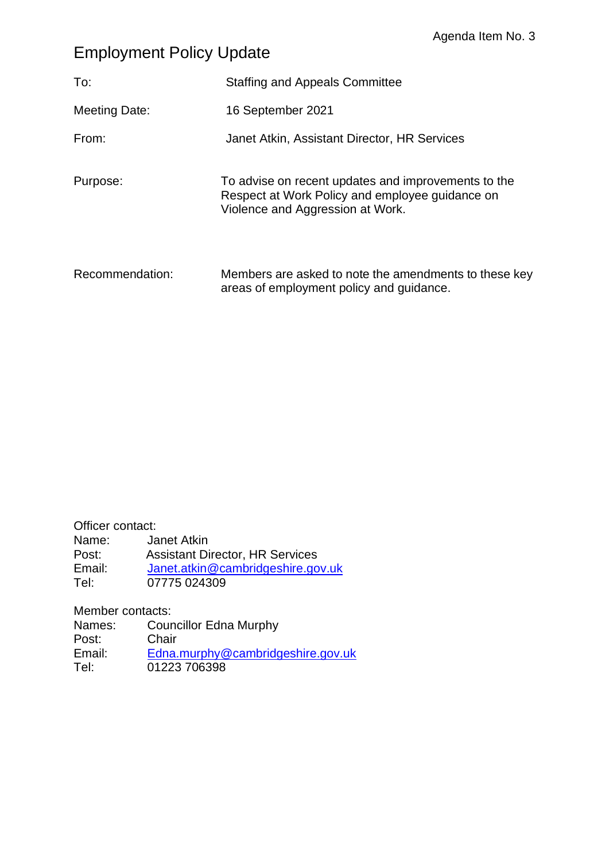## Employment Policy Update

| To:             | <b>Staffing and Appeals Committee</b>                                                                                                      |
|-----------------|--------------------------------------------------------------------------------------------------------------------------------------------|
| Meeting Date:   | 16 September 2021                                                                                                                          |
| From:           | Janet Atkin, Assistant Director, HR Services                                                                                               |
| Purpose:        | To advise on recent updates and improvements to the<br>Respect at Work Policy and employee guidance on<br>Violence and Aggression at Work. |
| Recommendation: | Members are asked to note the amendments to these key<br>areas of employment policy and guidance.                                          |

Officer contact: Name: Janet Atkin Post: Assistant Director, HR Services Email: [Janet.atkin@cambridgeshire.gov.uk](mailto:Janet.atkin@cambridgeshire.gov.uk) Tel: 07775 024309

Member contacts:

Names: Councillor Edna Murphy Post: Chair Email: [Edna.murphy@cambridgeshire.gov.uk](mailto:Edna.murphy@cambridgeshire.gov.uk) Tel: 01223 706398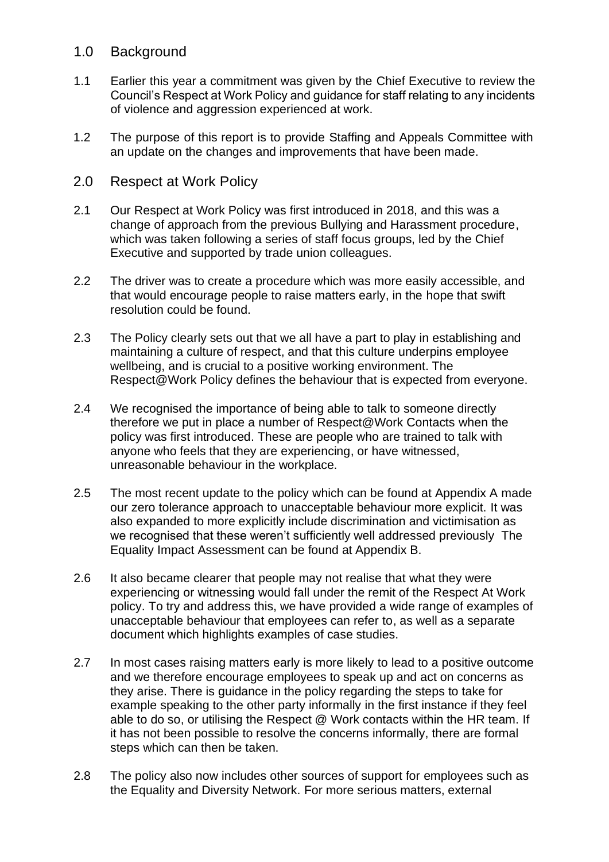## 1.0 Background

- 1.1 Earlier this year a commitment was given by the Chief Executive to review the Council's Respect at Work Policy and guidance for staff relating to any incidents of violence and aggression experienced at work.
- 1.2 The purpose of this report is to provide Staffing and Appeals Committee with an update on the changes and improvements that have been made.
- 2.0 Respect at Work Policy
- 2.1 Our Respect at Work Policy was first introduced in 2018, and this was a change of approach from the previous Bullying and Harassment procedure, which was taken following a series of staff focus groups, led by the Chief Executive and supported by trade union colleagues.
- 2.2 The driver was to create a procedure which was more easily accessible, and that would encourage people to raise matters early, in the hope that swift resolution could be found.
- 2.3 The Policy clearly sets out that we all have a part to play in establishing and maintaining a culture of respect, and that this culture underpins employee wellbeing, and is crucial to a positive working environment. The Respect@Work Policy defines the behaviour that is expected from everyone.
- 2.4 We recognised the importance of being able to talk to someone directly therefore we put in place a number of Respect@Work Contacts when the policy was first introduced. These are people who are trained to talk with anyone who feels that they are experiencing, or have witnessed, unreasonable behaviour in the workplace.
- 2.5 The most recent update to the policy which can be found at Appendix A made our zero tolerance approach to unacceptable behaviour more explicit. It was also expanded to more explicitly include discrimination and victimisation as we recognised that these weren't sufficiently well addressed previously The Equality Impact Assessment can be found at Appendix B.
- 2.6 It also became clearer that people may not realise that what they were experiencing or witnessing would fall under the remit of the Respect At Work policy. To try and address this, we have provided a wide range of examples of unacceptable behaviour that employees can refer to, as well as a separate document which highlights examples of case studies.
- 2.7 In most cases raising matters early is more likely to lead to a positive outcome and we therefore encourage employees to speak up and act on concerns as they arise. There is guidance in the policy regarding the steps to take for example speaking to the other party informally in the first instance if they feel able to do so, or utilising the Respect @ Work contacts within the HR team. If it has not been possible to resolve the concerns informally, there are formal steps which can then be taken.
- 2.8 The policy also now includes other sources of support for employees such as the Equality and Diversity Network. For more serious matters, external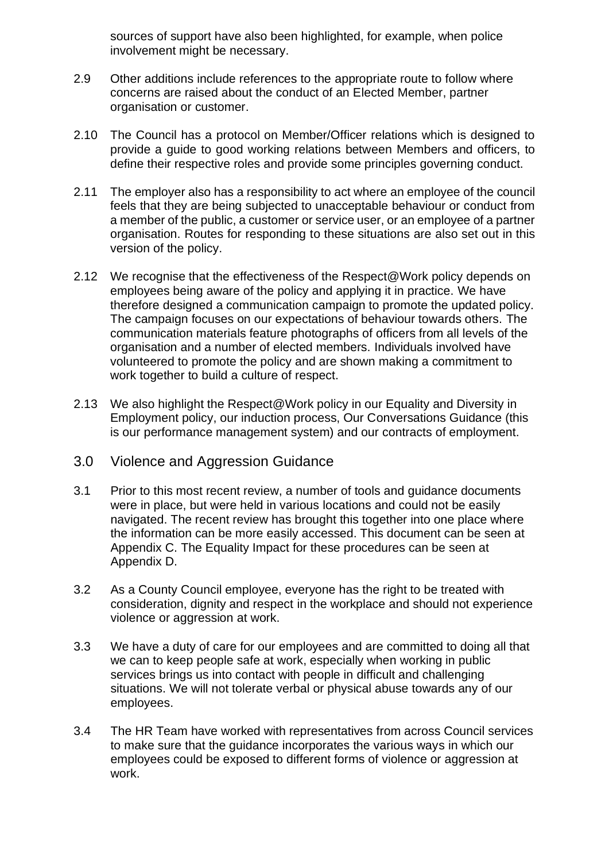sources of support have also been highlighted, for example, when police involvement might be necessary.

- 2.9 Other additions include references to the appropriate route to follow where concerns are raised about the conduct of an Elected Member, partner organisation or customer.
- 2.10 The Council has a protocol on Member/Officer relations which is designed to provide a guide to good working relations between Members and officers, to define their respective roles and provide some principles governing conduct.
- 2.11 The employer also has a responsibility to act where an employee of the council feels that they are being subjected to unacceptable behaviour or conduct from a member of the public, a customer or service user, or an employee of a partner organisation. Routes for responding to these situations are also set out in this version of the policy.
- 2.12 We recognise that the effectiveness of the Respect@Work policy depends on employees being aware of the policy and applying it in practice. We have therefore designed a communication campaign to promote the updated policy. The campaign focuses on our expectations of behaviour towards others. The communication materials feature photographs of officers from all levels of the organisation and a number of elected members. Individuals involved have volunteered to promote the policy and are shown making a commitment to work together to build a culture of respect.
- 2.13 We also highlight the Respect@Work policy in our Equality and Diversity in Employment policy, our induction process, Our Conversations Guidance (this is our performance management system) and our contracts of employment.
- 3.0 Violence and Aggression Guidance
- 3.1 Prior to this most recent review, a number of tools and guidance documents were in place, but were held in various locations and could not be easily navigated. The recent review has brought this together into one place where the information can be more easily accessed. This document can be seen at Appendix C. The Equality Impact for these procedures can be seen at Appendix D.
- 3.2 As a County Council employee, everyone has the right to be treated with consideration, dignity and respect in the workplace and should not experience violence or aggression at work.
- 3.3 We have a duty of care for our employees and are committed to doing all that we can to keep people safe at work, especially when working in public services brings us into contact with people in difficult and challenging situations. We will not tolerate verbal or physical abuse towards any of our employees.
- 3.4 The HR Team have worked with representatives from across Council services to make sure that the guidance incorporates the various ways in which our employees could be exposed to different forms of violence or aggression at work.